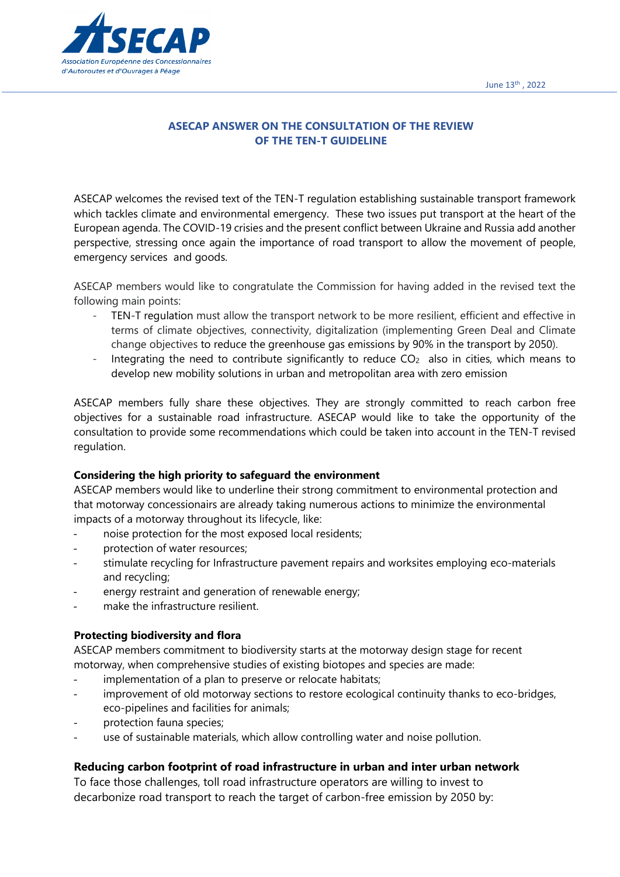

# **ASECAP ANSWER ON THE CONSULTATION OF THE REVIEW OF THE TEN-T GUIDELINE**

ASECAP welcomes the revised text of the TEN-T regulation establishing sustainable transport framework which tackles climate and environmental emergency. These two issues put transport at the heart of the European agenda. The COVID-19 crisies and the present conflict between Ukraine and Russia add another perspective, stressing once again the importance of road transport to allow the movement of people, emergency services and goods.

ASECAP members would like to congratulate the Commission for having added in the revised text the following main points:

- TEN-T regulation must allow the transport network to be more resilient, efficient and effective in terms of climate objectives, connectivity, digitalization (implementing Green Deal and Climate change objectives to reduce the greenhouse gas emissions by 90% in the transport by 2050).
- Integrating the need to contribute significantly to reduce  $CO<sub>2</sub>$  also in cities, which means to develop new mobility solutions in urban and metropolitan area with zero emission

ASECAP members fully share these objectives. They are strongly committed to reach carbon free objectives for a sustainable road infrastructure. ASECAP would like to take the opportunity of the consultation to provide some recommendations which could be taken into account in the TEN-T revised regulation.

## **Considering the high priority to safeguard the environment**

ASECAP members would like to underline their strong commitment to environmental protection and that motorway concessionairs are already taking numerous actions to minimize the environmental impacts of a motorway throughout its lifecycle, like:

- noise protection for the most exposed local residents;
- protection of water resources;
- stimulate recycling for Infrastructure pavement repairs and worksites employing eco-materials and recycling;
- energy restraint and generation of renewable energy;
- make the infrastructure resilient.

## **Protecting biodiversity and flora**

ASECAP members commitment to biodiversity starts at the motorway design stage for recent motorway, when comprehensive studies of existing biotopes and species are made:

- implementation of a plan to preserve or relocate habitats;
- improvement of old motorway sections to restore ecological continuity thanks to eco-bridges, eco-pipelines and facilities for animals;
- protection fauna species;
- use of sustainable materials, which allow controlling water and noise pollution.

## **Reducing carbon footprint of road infrastructure in urban and inter urban network**

To face those challenges, toll road infrastructure operators are willing to invest to decarbonize road transport to reach the target of carbon-free emission by 2050 by: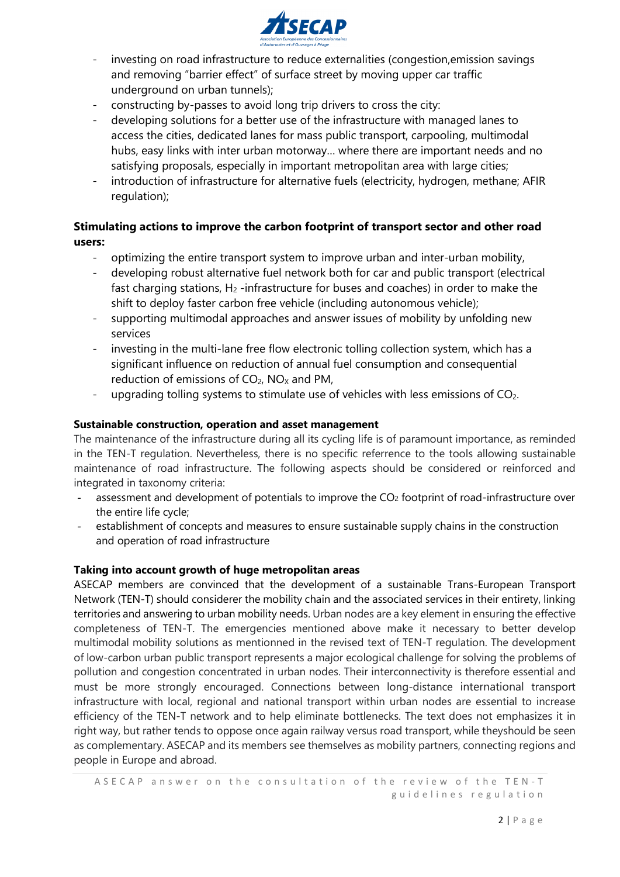

- investing on road infrastructure to reduce externalities (congestion,emission savings and removing "barrier effect" of surface street by moving upper car traffic underground on urban tunnels);
- constructing by-passes to avoid long trip drivers to cross the city:
- developing solutions for a better use of the infrastructure with managed lanes to access the cities, dedicated lanes for mass public transport, carpooling, multimodal hubs, easy links with inter urban motorway… where there are important needs and no satisfying proposals, especially in important metropolitan area with large cities;
- introduction of infrastructure for alternative fuels (electricity, hydrogen, methane; AFIR regulation);

# **Stimulating actions to improve the carbon footprint of transport sector and other road users:**

- optimizing the entire transport system to improve urban and inter-urban mobility,
- developing robust alternative fuel network both for car and public transport (electrical fast charging stations,  $H_2$ -infrastructure for buses and coaches) in order to make the shift to deploy faster carbon free vehicle (including autonomous vehicle);
- supporting multimodal approaches and answer issues of mobility by unfolding new services
- investing in the multi-lane free flow electronic tolling collection system, which has a significant influence on reduction of annual fuel consumption and consequential reduction of emissions of  $CO<sub>2</sub>$ , NO<sub>x</sub> and PM,
- upgrading tolling systems to stimulate use of vehicles with less emissions of  $CO<sub>2</sub>$ .

## **Sustainable construction, operation and asset management**

The maintenance of the infrastructure during all its cycling life is of paramount importance, as reminded in the TEN-T regulation. Nevertheless, there is no specific referrence to the tools allowing sustainable maintenance of road infrastructure. The following aspects should be considered or reinforced and integrated in taxonomy criteria:

- assessment and development of potentials to improve the CO<sub>2</sub> footprint of road-infrastructure over the entire life cycle;
- establishment of concepts and measures to ensure sustainable supply chains in the construction and operation of road infrastructure

## **Taking into account growth of huge metropolitan areas**

ASECAP members are convinced that the development of a sustainable Trans-European Transport Network (TEN-T) should considerer the mobility chain and the associated services in their entirety, linking territories and answering to urban mobility needs. Urban nodes are a key element in ensuring the effective completeness of TEN-T. The emergencies mentioned above make it necessary to better develop multimodal mobility solutions as mentionned in the revised text of TEN-T regulation. The development of low-carbon urban public transport represents a major ecological challenge for solving the problems of pollution and congestion concentrated in urban nodes. Their interconnectivity is therefore essential and must be more strongly encouraged. Connections between long-distance international transport infrastructure with local, regional and national transport within urban nodes are essential to increase efficiency of the TEN-T network and to help eliminate bottlenecks. The text does not emphasizes it in right way, but rather tends to oppose once again railway versus road transport, while theyshould be seen as complementary. ASECAP and its members see themselves as mobility partners, connecting regions and people in Europe and abroad.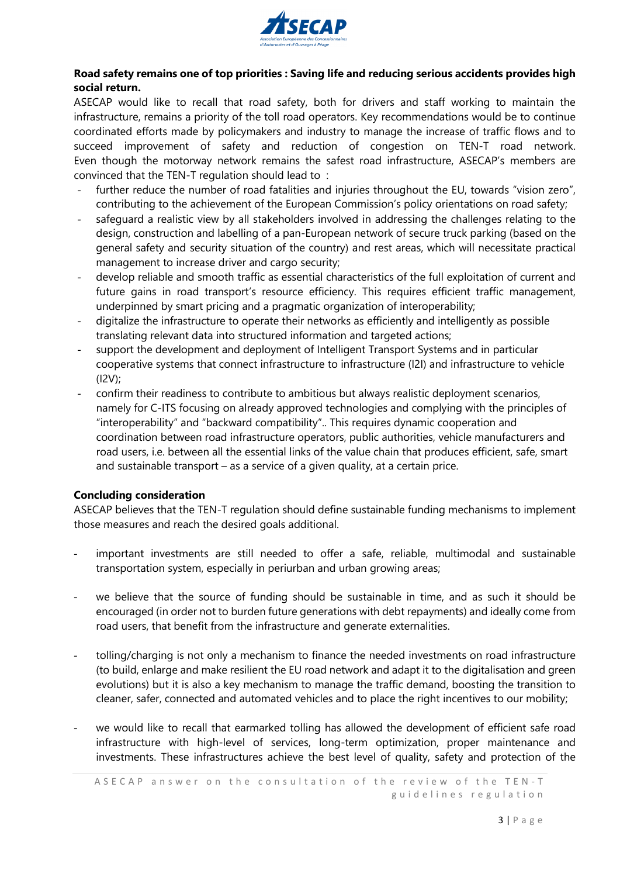

## **Road safety remains one of top priorities : Saving life and reducing serious accidents provides high social return.**

ASECAP would like to recall that road safety, both for drivers and staff working to maintain the infrastructure, remains a priority of the toll road operators. Key recommendations would be to continue coordinated efforts made by policymakers and industry to manage the increase of traffic flows and to succeed improvement of safety and reduction of congestion on TEN-T road network. Even though the motorway network remains the safest road infrastructure, ASECAP's members are convinced that the TEN-T regulation should lead to :

- further reduce the number of road fatalities and injuries throughout the EU, towards "vision zero", contributing to the achievement of the European Commission's policy orientations on road safety;
- safeguard a realistic view by all stakeholders involved in addressing the challenges relating to the design, construction and labelling of a pan-European network of secure truck parking (based on the general safety and security situation of the country) and rest areas, which will necessitate practical management to increase driver and cargo security;
- develop reliable and smooth traffic as essential characteristics of the full exploitation of current and future gains in road transport's resource efficiency. This requires efficient traffic management, underpinned by smart pricing and a pragmatic organization of interoperability;
- digitalize the infrastructure to operate their networks as efficiently and intelligently as possible translating relevant data into structured information and targeted actions;
- support the development and deployment of Intelligent Transport Systems and in particular cooperative systems that connect infrastructure to infrastructure (I2I) and infrastructure to vehicle (I2V);
- confirm their readiness to contribute to ambitious but always realistic deployment scenarios, namely for C-ITS focusing on already approved technologies and complying with the principles of "interoperability" and "backward compatibility".. This requires dynamic cooperation and coordination between road infrastructure operators, public authorities, vehicle manufacturers and road users, i.e. between all the essential links of the value chain that produces efficient, safe, smart and sustainable transport – as a service of a given quality, at a certain price.

## **Concluding consideration**

ASECAP believes that the TEN-T regulation should define sustainable funding mechanisms to implement those measures and reach the desired goals additional.

- important investments are still needed to offer a safe, reliable, multimodal and sustainable transportation system, especially in periurban and urban growing areas;
- we believe that the source of funding should be sustainable in time, and as such it should be encouraged (in order not to burden future generations with debt repayments) and ideally come from road users, that benefit from the infrastructure and generate externalities.
- tolling/charging is not only a mechanism to finance the needed investments on road infrastructure (to build, enlarge and make resilient the EU road network and adapt it to the digitalisation and green evolutions) but it is also a key mechanism to manage the traffic demand, boosting the transition to cleaner, safer, connected and automated vehicles and to place the right incentives to our mobility;
- we would like to recall that earmarked tolling has allowed the development of efficient safe road infrastructure with high-level of services, long-term optimization, proper maintenance and investments. These infrastructures achieve the best level of quality, safety and protection of the